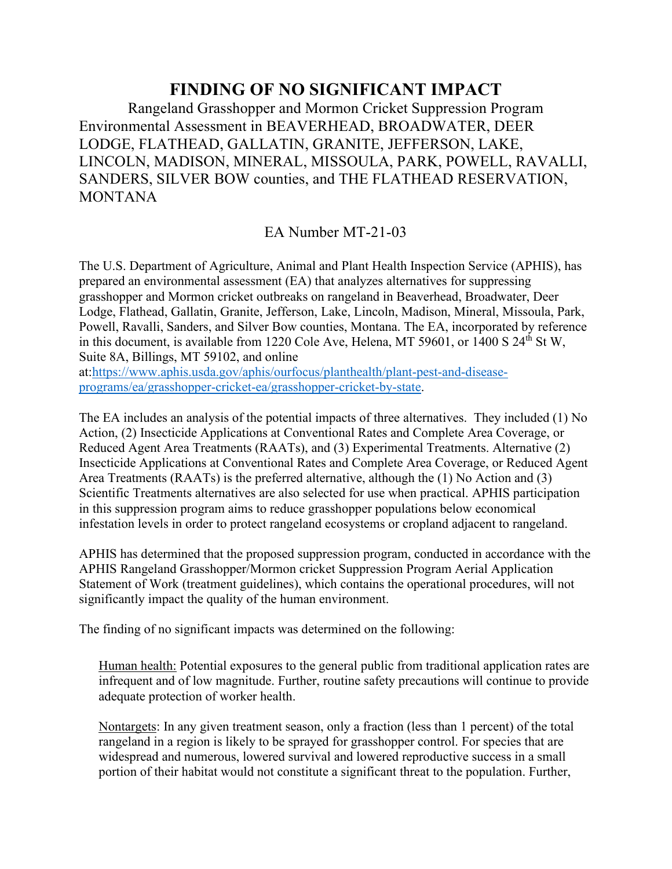## **FINDING OF NO SIGNIFICANT IMPACT**

Rangeland Grasshopper and Mormon Cricket Suppression Program Environmental Assessment in BEAVERHEAD, BROADWATER, DEER LODGE, FLATHEAD, GALLATIN, GRANITE, JEFFERSON, LAKE, LINCOLN, MADISON, MINERAL, MISSOULA, PARK, POWELL, RAVALLI, SANDERS, SILVER BOW counties, and THE FLATHEAD RESERVATION, MONTANA

EA Number MT-21-03

The U.S. Department of Agriculture, Animal and Plant Health Inspection Service (APHIS), has prepared an environmental assessment (EA) that analyzes alternatives for suppressing grasshopper and Mormon cricket outbreaks on rangeland in Beaverhead, Broadwater, Deer Lodge, Flathead, Gallatin, Granite, Jefferson, Lake, Lincoln, Madison, Mineral, Missoula, Park, Powell, Ravalli, Sanders, and Silver Bow counties, Montana. The EA, incorporated by reference in this document, is available from 1220 Cole Ave, Helena, MT 59601, or 1400 S  $24<sup>th</sup>$  St W, Suite 8A, Billings, MT 59102, and online at[:https://www.aphis.usda.gov/aphis/ourfocus/planthealth/plant-pest-and-disease-](https://www.aphis.usda.gov/aphis/ourfocus/planthealth/plant-pest-and-disease-programs/ea/grasshopper-cricket-ea/grasshopper-cricket-by-state)

[programs/ea/grasshopper-cricket-ea/grasshopper-cricket-by-state.](https://www.aphis.usda.gov/aphis/ourfocus/planthealth/plant-pest-and-disease-programs/ea/grasshopper-cricket-ea/grasshopper-cricket-by-state)

The EA includes an analysis of the potential impacts of three alternatives. They included (1) No Action, (2) Insecticide Applications at Conventional Rates and Complete Area Coverage, or Reduced Agent Area Treatments (RAATs), and (3) Experimental Treatments. Alternative (2) Insecticide Applications at Conventional Rates and Complete Area Coverage, or Reduced Agent Area Treatments (RAATs) is the preferred alternative, although the (1) No Action and (3) Scientific Treatments alternatives are also selected for use when practical. APHIS participation in this suppression program aims to reduce grasshopper populations below economical infestation levels in order to protect rangeland ecosystems or cropland adjacent to rangeland.

APHIS has determined that the proposed suppression program, conducted in accordance with the APHIS Rangeland Grasshopper/Mormon cricket Suppression Program Aerial Application Statement of Work (treatment guidelines), which contains the operational procedures, will not significantly impact the quality of the human environment.

The finding of no significant impacts was determined on the following:

Human health: Potential exposures to the general public from traditional application rates are infrequent and of low magnitude. Further, routine safety precautions will continue to provide adequate protection of worker health.

Nontargets: In any given treatment season, only a fraction (less than 1 percent) of the total rangeland in a region is likely to be sprayed for grasshopper control. For species that are widespread and numerous, lowered survival and lowered reproductive success in a small portion of their habitat would not constitute a significant threat to the population. Further,